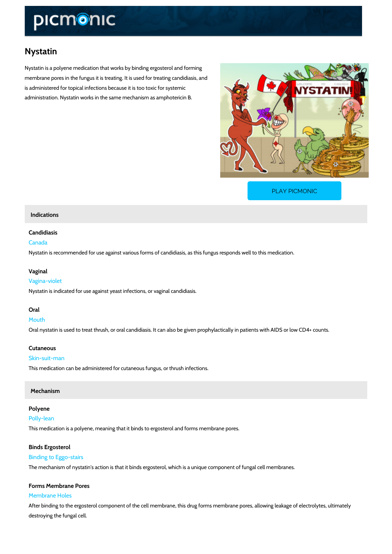# Nystatin

Nystatin is a polyene medication that works by binding ergosterol and forming membrane pores in the fungus it is treating. It is used for treating candidiasis, and is administered for topical infections because it is too toxic for systemic administration. Nystatin works in the same mechanism as amphotericin B.

[PLAY PICMONIC](https://www.picmonic.com/learn/nystatin_1820?utm_source=downloadable_content&utm_medium=distributedcontent&utm_campaign=pathways_pdf&utm_content=Nystatin&utm_ad_group=leads&utm_market=all)

## Indications

#### Candidiasis

## Canada

Nystatin is recommended for use against various forms of candidiasis, as this fungus respond

#### Vaginal

#### Vagina-violet

Nystatin is indicated for use against yeast infections, or vaginal candidiasis.

#### Oral

Mouth Oral nystatin is used to treat thrush, or oral candidiasis. It can also be given prophylactically

# Cutaneous

# Skin-suit-man

This medication can be administered for cutaneous fungus, or thrush infections.

#### Mechanism

### Polyene

#### Polly-lean

This medication is a polyene, meaning that it binds to ergosterol and forms membrane pores.

#### Binds Ergosterol

## Binding to Eggo-stairs

The mechanism of nystatin's action is that it binds ergosterol, which is a unique component of

## Forms Membrane Pores

# Membrane Holes

After binding to the ergosterol component of the cell membrane, this drug forms membrane po destroying the fungal cell.